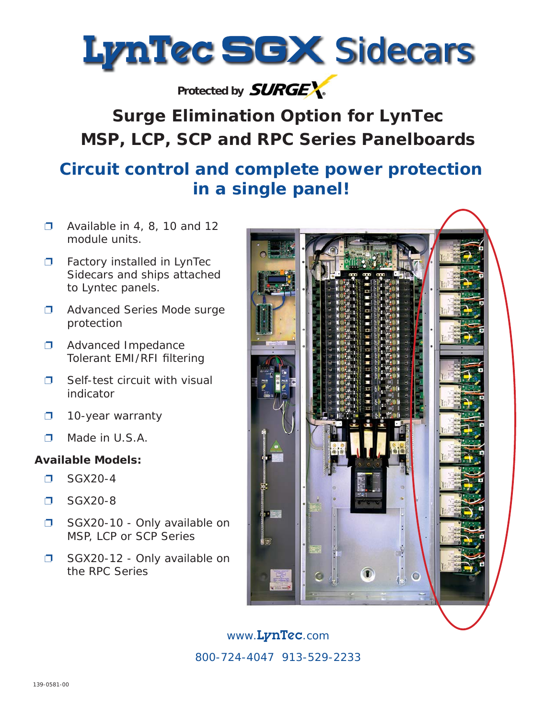

## Protected by **SURGEX**.

# *Surge Elimination Option for LynTec MSP, LCP, SCP and RPC Series Panelboards*

## **Circuit control and complete power protection in a single panel!**

- $\Box$  Available in 4, 8, 10 and 12 module units.
- □ Factory installed in LynTec Sidecars and ships attached to Lyntec panels.
- ❐ Advanced Series Mode surge protection
- ❐ Advanced Impedance Tolerant EMI/RFI filtering
- □ Self-test circuit with visual indicator
- ❐ 10-year warranty
- ❐ Made in U.S.A.

### **Available Models:**

- ❐ SGX20-4
- ❐ SGX20-8
- ❐ SGX20-10 Only available on MSP, LCP or SCP Series
- ❐ SGX20-12 Only available on the RPC Series



www.LynTec.com 800-724-4047 913-529-2233